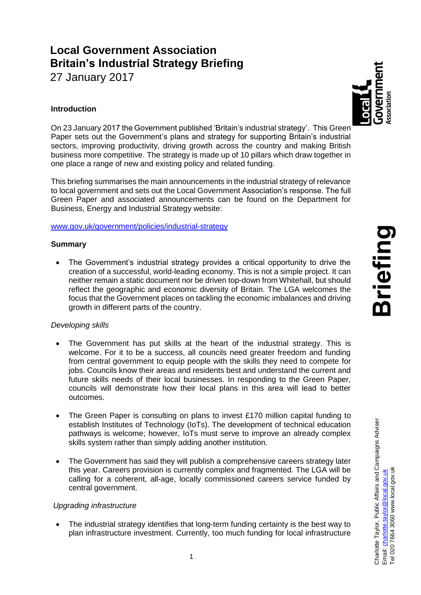# **Local Government Association Britain's Industrial Strategy Briefing**

27 January 2017

# **Introduction**

On 23 January 2017 the Government published 'Britain's industrial strategy'. This Green Paper sets out the Government's plans and strategy for supporting Britain's industrial sectors, improving productivity, driving growth across the country and making British business more competitive. The strategy is made up of 10 pillars which draw together in one place a range of new and existing policy and related funding.

This briefing summarises the main announcements in the industrial strategy of relevance to local government and sets out the Local Government Association's response. The full Green Paper and associated announcements can be found on the Department for Business, Energy and Industrial Strategy website:

[www.gov.uk/government/policies/industrial-strategy](http://www.gov.uk/government/policies/industrial-strategy)

## **Summary**

 The Government's industrial strategy provides a critical opportunity to drive the creation of a successful, world-leading economy. This is not a simple project. It can neither remain a static document nor be driven top-down from Whitehall, but should reflect the geographic and economic diversity of Britain. The LGA welcomes the focus that the Government places on tackling the economic imbalances and driving growth in different parts of the country.

## *Developing skills*

- The Government has put skills at the heart of the industrial strategy. This is welcome. For it to be a success, all councils need greater freedom and funding from central government to equip people with the skills they need to compete for jobs. Councils know their areas and residents best and understand the current and future skills needs of their local businesses. In responding to the Green Paper, councils will demonstrate how their local plans in this area will lead to better outcomes.
- The Green Paper is consulting on plans to invest £170 million capital funding to establish Institutes of Technology (IoTs). The development of technical education pathways is welcome; however, IoTs must serve to improve an already complex skills system rather than simply adding another institution.
- The Government has said they will publish a comprehensive careers strategy later this year. Careers provision is currently complex and fragmented. The LGA will be calling for a coherent, all-age, locally commissioned careers service funded by central government.

## *Upgrading infrastructure*

 The industrial strategy identifies that long-term funding certainty is the best way to plan infrastructure investment. Currently, too much funding for local infrastructure

Charlotte Taylor, Public Affairs and Campaigns Adviser<br>Email: <u>charlotte.taylor@local.gov.uk</u><br>Tel 020 7664 3060 www.local.gov.uk

020 7664 3060 www.local.gov.uk Email: <u>charlotte.taylor@local.gov.uk</u><br>Tel 020 7664 3060 www.local.gov.ul

Charlotte Taylor, Public Affairs and Campaigns Adviser

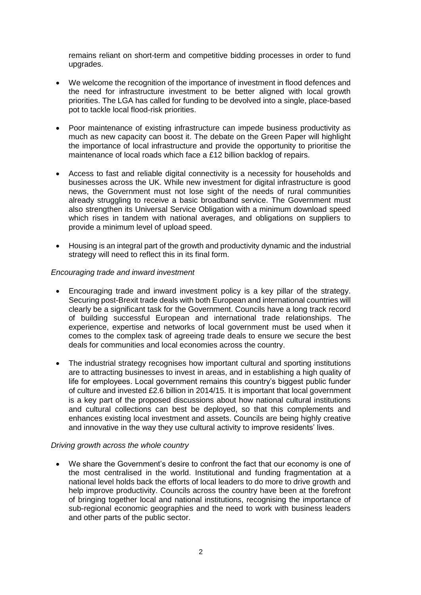remains reliant on short-term and competitive bidding processes in order to fund upgrades.

- We welcome the recognition of the importance of investment in flood defences and the need for infrastructure investment to be better aligned with local growth priorities. The LGA has called for funding to be devolved into a single, place-based pot to tackle local flood-risk priorities.
- Poor maintenance of existing infrastructure can impede business productivity as much as new capacity can boost it. The debate on the Green Paper will highlight the importance of local infrastructure and provide the opportunity to prioritise the maintenance of local roads which face a £12 billion backlog of repairs.
- Access to fast and reliable digital connectivity is a necessity for households and businesses across the UK. While new investment for digital infrastructure is good news, the Government must not lose sight of the needs of rural communities already struggling to receive a basic broadband service. The Government must also strengthen its Universal Service Obligation with a minimum download speed which rises in tandem with national averages, and obligations on suppliers to provide a minimum level of upload speed.
- Housing is an integral part of the growth and productivity dynamic and the industrial strategy will need to reflect this in its final form.

#### *Encouraging trade and inward investment*

- Encouraging trade and inward investment policy is a key pillar of the strategy. Securing post-Brexit trade deals with both European and international countries will clearly be a significant task for the Government. Councils have a long track record of building successful European and international trade relationships. The experience, expertise and networks of local government must be used when it comes to the complex task of agreeing trade deals to ensure we secure the best deals for communities and local economies across the country.
- The industrial strategy recognises how important cultural and sporting institutions are to attracting businesses to invest in areas, and in establishing a high quality of life for employees. Local government remains this country's biggest public funder of culture and invested £2.6 billion in 2014/15. It is important that local government is a key part of the proposed discussions about how national cultural institutions and cultural collections can best be deployed, so that this complements and enhances existing local investment and assets. Councils are being highly creative and innovative in the way they use cultural activity to improve residents' lives.

#### *Driving growth across the whole country*

 We share the Government's desire to confront the fact that our economy is one of the most centralised in the world. Institutional and funding fragmentation at a national level holds back the efforts of local leaders to do more to drive growth and help improve productivity. Councils across the country have been at the forefront of bringing together local and national institutions, recognising the importance of sub-regional economic geographies and the need to work with business leaders and other parts of the public sector.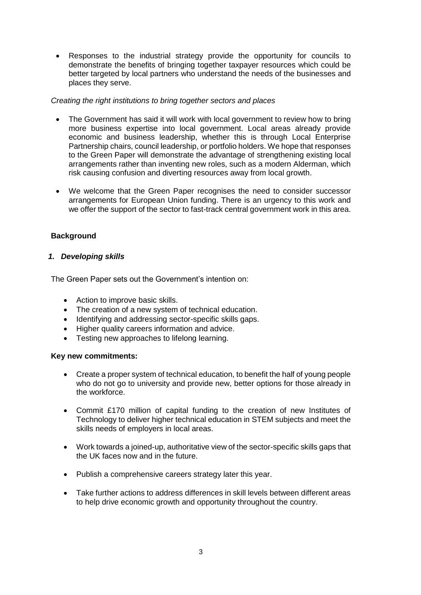Responses to the industrial strategy provide the opportunity for councils to demonstrate the benefits of bringing together taxpayer resources which could be better targeted by local partners who understand the needs of the businesses and places they serve.

## *Creating the right institutions to bring together sectors and places*

- The Government has said it will work with local government to review how to bring more business expertise into local government. Local areas already provide economic and business leadership, whether this is through Local Enterprise Partnership chairs, council leadership, or portfolio holders. We hope that responses to the Green Paper will demonstrate the advantage of strengthening existing local arrangements rather than inventing new roles, such as a modern Alderman, which risk causing confusion and diverting resources away from local growth.
- We welcome that the Green Paper recognises the need to consider successor arrangements for European Union funding. There is an urgency to this work and we offer the support of the sector to fast-track central government work in this area.

# **Background**

# *1. Developing skills*

The Green Paper sets out the Government's intention on:

- Action to improve basic skills.
- The creation of a new system of technical education.
- Identifying and addressing sector-specific skills gaps.
- Higher quality careers information and advice.
- Testing new approaches to lifelong learning.

## **Key new commitments:**

- Create a proper system of technical education, to benefit the half of young people who do not go to university and provide new, better options for those already in the workforce.
- Commit £170 million of capital funding to the creation of new Institutes of Technology to deliver higher technical education in STEM subjects and meet the skills needs of employers in local areas.
- Work towards a joined-up, authoritative view of the sector-specific skills gaps that the UK faces now and in the future.
- Publish a comprehensive careers strategy later this year.
- Take further actions to address differences in skill levels between different areas to help drive economic growth and opportunity throughout the country.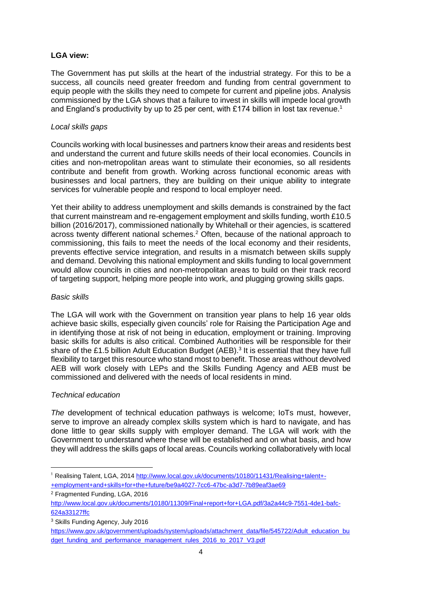## **LGA view:**

The Government has put skills at the heart of the [industrial strategy.](https://www.gov.uk/government/consultations/building-our-industrial-strategy) For this to be a success, all councils need greater freedom and funding from central government to equip people with the skills they need to compete for current and pipeline jobs. Analysis commissioned by the LGA shows that a failure to invest in skills will impede local growth and England's productivity by up to 25 per cent, with £174 billion in lost tax revenue.<sup>1</sup>

#### *Local skills gaps*

Councils working with local businesses and partners know their areas and residents best and understand the current and future skills needs of their local economies. Councils in cities and non-metropolitan areas want to stimulate their economies, so all residents contribute and benefit from growth. Working across functional economic areas with businesses and local partners, they are building on their unique ability to integrate services for vulnerable people and respond to local employer need.

Yet their ability to address unemployment and skills demands is constrained by the fact that current mainstream and re-engagement employment and skills funding, worth £10.5 billion (2016/2017), commissioned nationally by Whitehall or their agencies, is scattered across twenty different national schemes.<sup>2</sup> Often, because of the national approach to commissioning, this fails to meet the needs of the local economy and their residents, prevents effective service integration, and results in a mismatch between skills supply and demand. Devolving this national employment and skills funding to local government would allow councils in cities and non-metropolitan areas to build on their track record of targeting support, helping more people into work, and plugging growing skills gaps.

#### *Basic skills*

The LGA will work with the Government on transition year plans to help 16 year olds achieve basic skills, especially given councils' role for Raising the Participation Age and in identifying those at risk of not being in education, employment or training. Improving basic skills for adults is also critical. Combined Authorities will be responsible for their share of the £1.5 billion Adult Education Budget (AEB).<sup>3</sup> It is essential that they have full flexibility to target this resource who stand most to benefit. Those areas without devolved AEB will work closely with LEPs and the Skills Funding Agency and AEB must be commissioned and delivered with the needs of local residents in mind.

## *Technical education*

*The* development of technical education pathways is welcome; IoTs must, however, serve to improve an already complex skills system which is hard to navigate, and has done little to gear skills supply with employer demand. The LGA will work with the Government to understand where these will be established and on what basis, and how they will address the skills gaps of local areas. Councils working collaboratively with local

<sup>-</sup><sup>1</sup> Realising Talent, LGA, 201[4 http://www.local.gov.uk/documents/10180/11431/Realising+talent+-](http://www.local.gov.uk/documents/10180/11431/Realising+talent+-+employment+and+skills+for+the+future/be9a4027-7cc6-47bc-a3d7-7b89eaf3ae69) [+employment+and+skills+for+the+future/be9a4027-7cc6-47bc-a3d7-7b89eaf3ae69](http://www.local.gov.uk/documents/10180/11431/Realising+talent+-+employment+and+skills+for+the+future/be9a4027-7cc6-47bc-a3d7-7b89eaf3ae69)

<sup>2</sup> Fragmented Funding, LGA, 2016

[http://www.local.gov.uk/documents/10180/11309/Final+report+for+LGA.pdf/3a2a44c9-7551-4de1-bafc-](http://www.local.gov.uk/documents/10180/11309/Final+report+for+LGA.pdf/3a2a44c9-7551-4de1-bafc-624a33127ffc)[624a33127ffc](http://www.local.gov.uk/documents/10180/11309/Final+report+for+LGA.pdf/3a2a44c9-7551-4de1-bafc-624a33127ffc)

<sup>3</sup> Skills Funding Agency, July 2016

[https://www.gov.uk/government/uploads/system/uploads/attachment\\_data/file/545722/Adult\\_education\\_bu](https://www.gov.uk/government/uploads/system/uploads/attachment_data/file/545722/Adult_education_budget_funding_and_performance_management_rules_2016_to_2017_V3.pdf) [dget\\_funding\\_and\\_performance\\_management\\_rules\\_2016\\_to\\_2017\\_V3.pdf](https://www.gov.uk/government/uploads/system/uploads/attachment_data/file/545722/Adult_education_budget_funding_and_performance_management_rules_2016_to_2017_V3.pdf)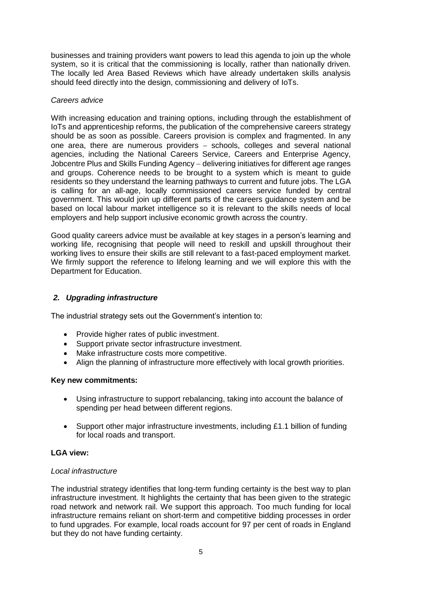businesses and training providers want powers to lead this agenda to join up the whole system, so it is critical that the commissioning is locally, rather than nationally driven. The locally led Area Based Reviews which have already undertaken skills analysis should feed directly into the design, commissioning and delivery of IoTs.

## *Careers advice*

With increasing education and training options, including through the establishment of IoTs and apprenticeship reforms, the publication of the comprehensive careers strategy should be as soon as possible. Careers provision is complex and fragmented. In any one area, there are numerous providers  $-$  schools, colleges and several national agencies, including the National Careers Service, Careers and Enterprise Agency, Jobcentre Plus and Skills Funding Agency – delivering initiatives for different age ranges and groups. Coherence needs to be brought to a system which is meant to guide residents so they understand the learning pathways to current and future jobs. The LGA is calling for an all-age, locally commissioned careers service funded by central government. This would join up different parts of the careers guidance system and be based on local labour market intelligence so it is relevant to the skills needs of local employers and help support inclusive economic growth across the country.

Good quality careers advice must be available at key stages in a person's learning and working life, recognising that people will need to reskill and upskill throughout their working lives to ensure their skills are still relevant to a fast-paced employment market. We firmly support the reference to lifelong learning and we will explore this with the Department for Education.

## *2. Upgrading infrastructure*

The industrial strategy sets out the Government's intention to:

- Provide higher rates of public investment.
- Support private sector infrastructure investment.
- Make infrastructure costs more competitive.
- Align the planning of infrastructure more effectively with local growth priorities.

## **Key new commitments:**

- Using infrastructure to support rebalancing, taking into account the balance of spending per head between different regions.
- Support other major infrastructure investments, including £1.1 billion of funding for local roads and transport.

## **LGA view:**

#### *Local infrastructure*

The industrial strategy identifies that long-term funding certainty is the best way to plan infrastructure investment. It highlights the certainty that has been given to the strategic road network and network rail. We support this approach. Too much funding for local infrastructure remains reliant on short-term and competitive bidding processes in order to fund upgrades. For example, local roads account for 97 per cent of roads in England but they do not have funding certainty.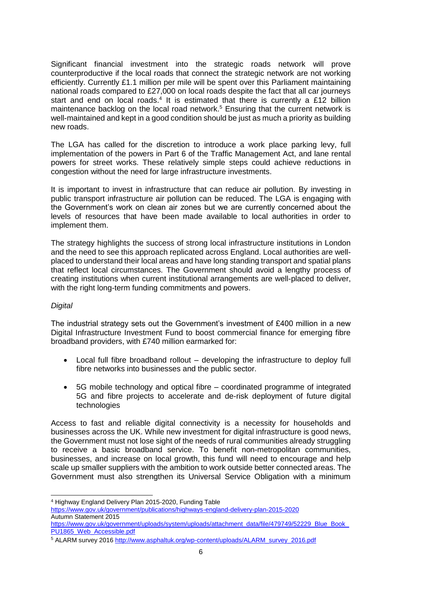Significant financial investment into the strategic roads network will prove counterproductive if the local roads that connect the strategic network are not working efficiently. Currently £1.1 million per mile will be spent over this Parliament maintaining national roads compared to £27,000 on local roads despite the fact that all car journeys start and end on local roads.<sup>4</sup> It is estimated that there is currently a £12 billion maintenance backlog on the local road network.<sup>5</sup> Ensuring that the current network is well-maintained and kept in a good condition should be just as much a priority as building new roads.

The LGA has called for the discretion to introduce a work place parking levy, full implementation of the powers in Part 6 of the Traffic Management Act, and lane rental powers for street works. These relatively simple steps could achieve reductions in congestion without the need for large infrastructure investments.

It is important to invest in infrastructure that can reduce air pollution. By investing in public transport infrastructure air pollution can be reduced. The LGA is engaging with the Government's work on clean air zones but we are currently concerned about the levels of resources that have been made available to local authorities in order to implement them.

The strategy highlights the success of strong local infrastructure institutions in London and the need to see this approach replicated across England. Local authorities are wellplaced to understand their local areas and have long standing transport and spatial plans that reflect local circumstances. The Government should avoid a lengthy process of creating institutions when current institutional arrangements are well-placed to deliver, with the right long-term funding commitments and powers.

#### *Digital*

The industrial strategy sets out the Government's investment of £400 million in a new Digital Infrastructure Investment Fund to boost commercial finance for emerging fibre broadband providers, with £740 million earmarked for:

- Local full fibre broadband rollout developing the infrastructure to deploy full fibre networks into businesses and the public sector.
- 5G mobile technology and optical fibre coordinated programme of integrated 5G and fibre projects to accelerate and de-risk deployment of future digital technologies

Access to fast and reliable digital connectivity is a necessity for households and businesses across the UK. While new investment for digital infrastructure is good news, the Government must not lose sight of the needs of rural communities already struggling to receive a basic broadband service. To benefit non-metropolitan communities, businesses, and increase on local growth, this fund will need to encourage and help scale up smaller suppliers with the ambition to work outside better connected areas. The Government must also strengthen its Universal Service Obligation with a minimum

 $\overline{a}$ <sup>4</sup> Highway England Delivery Plan 2015-2020, Funding Table

<https://www.gov.uk/government/publications/highways-england-delivery-plan-2015-2020> Autumn Statement 2015 https://www.gov.uk/government/uploads/system/uploads/attachment\_data/file/479749/52229\_Blue\_Book

[PU1865\\_Web\\_Accessible.pdf](https://www.gov.uk/government/uploads/system/uploads/attachment_data/file/479749/52229_Blue_Book_PU1865_Web_Accessible.pdf%20%0d6) 

<sup>5</sup> ALARM survey 2016 [http://www.asphaltuk.org/wp-content/uploads/ALARM\\_survey\\_2016.pdf](http://www.asphaltuk.org/wp-content/uploads/ALARM_survey_2016.pdf)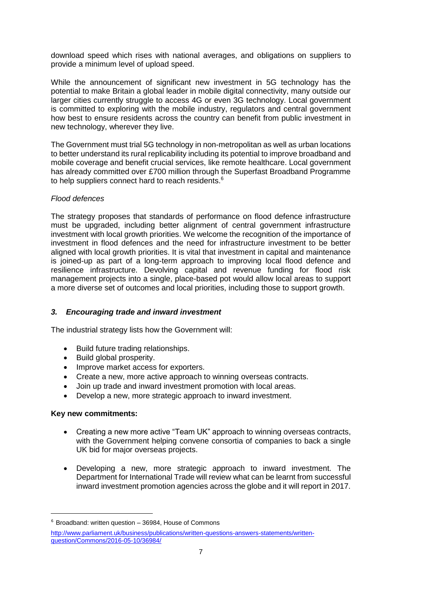download speed which rises with national averages, and obligations on suppliers to provide a minimum level of upload speed.

While the announcement of significant new investment in 5G technology has the potential to make Britain a global leader in mobile digital connectivity, many outside our larger cities currently struggle to access 4G or even 3G technology. Local government is committed to exploring with the mobile industry, regulators and central government how best to ensure residents across the country can benefit from public investment in new technology, wherever they live.

The Government must trial 5G technology in non-metropolitan as well as urban locations to better understand its rural replicability including its potential to improve broadband and mobile coverage and benefit crucial services, like remote healthcare. Local government has already committed over £700 million through the Superfast Broadband Programme to help suppliers connect hard to reach residents.<sup>6</sup>

#### *Flood defences*

The strategy proposes that standards of performance on flood defence infrastructure must be upgraded, including better alignment of central government infrastructure investment with local growth priorities. We welcome the recognition of the importance of investment in flood defences and the need for infrastructure investment to be better aligned with local growth priorities. It is vital that investment in capital and maintenance is joined-up as part of a long-term approach to improving local flood defence and resilience infrastructure. Devolving capital and revenue funding for flood risk management projects into a single, place-based pot would allow local areas to support a more diverse set of outcomes and local priorities, including those to support growth.

## *3. Encouraging trade and inward investment*

The industrial strategy lists how the Government will:

- Build future trading relationships.
- Build global prosperity.
- Improve market access for exporters.
- Create a new, more active approach to winning overseas contracts.
- Join up trade and inward investment promotion with local areas.
- Develop a new, more strategic approach to inward investment.

## **Key new commitments:**

-

- Creating a new more active "Team UK" approach to winning overseas contracts, with the Government helping convene consortia of companies to back a single UK bid for major overseas projects.
- Developing a new, more strategic approach to inward investment. The Department for International Trade will review what can be learnt from successful inward investment promotion agencies across the globe and it will report in 2017.

 $6$  Broadband: written question  $-$  36984, House of Commons

[http://www.parliament.uk/business/publications/written-questions-answers-statements/written](http://www.parliament.uk/business/publications/written-questions-answers-statements/written-question/Commons/2016-05-10/36984/)[question/Commons/2016-05-10/36984/](http://www.parliament.uk/business/publications/written-questions-answers-statements/written-question/Commons/2016-05-10/36984/)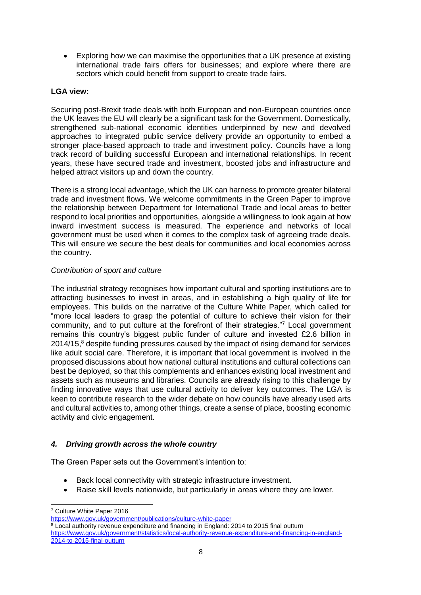Exploring how we can maximise the opportunities that a UK presence at existing international trade fairs offers for businesses; and explore where there are sectors which could benefit from support to create trade fairs.

## **LGA view:**

Securing post-Brexit trade deals with both European and non-European countries once the UK leaves the EU will clearly be a significant task for the Government. Domestically, strengthened sub-national economic identities underpinned by new and devolved approaches to integrated public service delivery provide an opportunity to embed a stronger place-based approach to trade and investment policy. Councils have a long track record of building successful European and international relationships. In recent years, these have secured trade and investment, boosted jobs and infrastructure and helped attract visitors up and down the country.

There is a strong local advantage, which the UK can harness to promote greater bilateral trade and investment flows. We welcome commitments in the Green Paper to improve the relationship between Department for International Trade and local areas to better respond to local priorities and opportunities, alongside a willingness to look again at how inward investment success is measured. The experience and networks of local government must be used when it comes to the complex task of agreeing trade deals. This will ensure we secure the best deals for communities and local economies across the country.

## *Contribution of sport and culture*

The industrial strategy recognises how important cultural and sporting institutions are to attracting businesses to invest in areas, and in establishing a high quality of life for employees. This builds on the narrative of the Culture White Paper, which called for "more local leaders to grasp the potential of culture to achieve their vision for their community, and to put culture at the forefront of their strategies."<sup>7</sup> Local government remains this country's biggest public funder of culture and invested £2.6 billion in  $2014/15$ , $8$  despite funding pressures caused by the impact of rising demand for services like adult social care. Therefore, it is important that local government is involved in the proposed discussions about how national cultural institutions and cultural collections can best be deployed, so that this complements and enhances existing local investment and assets such as museums and libraries. Councils are already rising to this challenge by finding innovative ways that use cultural activity to deliver key outcomes. The LGA is keen to contribute research to the wider debate on how councils have already used arts and cultural activities to, among other things, create a sense of place, boosting economic activity and civic engagement.

## *4. Driving growth across the whole country*

The Green Paper sets out the Government's intention to:

- Back local connectivity with strategic infrastructure investment.
- Raise skill levels nationwide, but particularly in areas where they are lower.

 $\overline{a}$ <sup>7</sup> Culture White Paper 2016

<https://www.gov.uk/government/publications/culture-white-paper>

 $8$  Local authority revenue expenditure and financing in England: 2014 to 2015 final outturn [https://www.gov.uk/government/statistics/local-authority-revenue-expenditure-and-financing-in-england-](https://www.gov.uk/government/statistics/local-authority-revenue-expenditure-and-financing-in-england-2014-to-2015-final-outturn)[2014-to-2015-final-outturn](https://www.gov.uk/government/statistics/local-authority-revenue-expenditure-and-financing-in-england-2014-to-2015-final-outturn)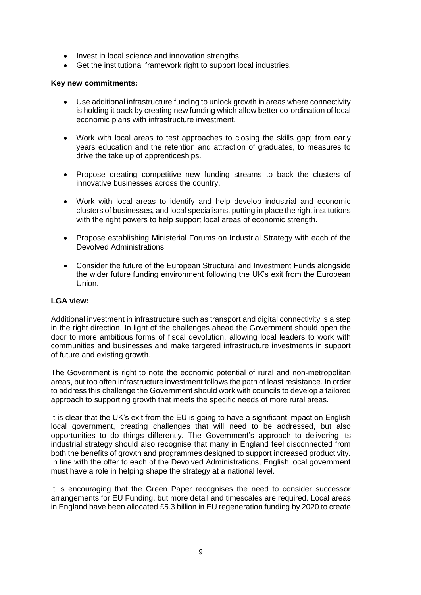- Invest in local science and innovation strengths.
- Get the institutional framework right to support local industries.

## **Key new commitments:**

- Use additional infrastructure funding to unlock growth in areas where connectivity is holding it back by creating new funding which allow better co-ordination of local economic plans with infrastructure investment.
- Work with local areas to test approaches to closing the skills gap; from early years education and the retention and attraction of graduates, to measures to drive the take up of apprenticeships.
- Propose creating competitive new funding streams to back the clusters of innovative businesses across the country.
- Work with local areas to identify and help develop industrial and economic clusters of businesses, and local specialisms, putting in place the right institutions with the right powers to help support local areas of economic strength.
- Propose establishing Ministerial Forums on Industrial Strategy with each of the Devolved Administrations.
- Consider the future of the European Structural and Investment Funds alongside the wider future funding environment following the UK's exit from the European Union.

## **LGA view:**

Additional investment in infrastructure such as transport and digital connectivity is a step in the right direction. In light of the challenges ahead the Government should open the door to more ambitious forms of fiscal devolution, allowing local leaders to work with communities and businesses and make targeted infrastructure investments in support of future and existing growth.

The Government is right to note the economic potential of rural and non-metropolitan areas, but too often infrastructure investment follows the path of least resistance. In order to address this challenge the Government should work with councils to develop a tailored approach to supporting growth that meets the specific needs of more rural areas.

It is clear that the UK's exit from the EU is going to have a significant impact on English local government, creating challenges that will need to be addressed, but also opportunities to do things differently. The Government's approach to delivering its industrial strategy should also recognise that many in England feel disconnected from both the benefits of growth and programmes designed to support increased productivity. In line with the offer to each of the Devolved Administrations, English local government must have a role in helping shape the strategy at a national level.

It is encouraging that the Green Paper recognises the need to consider successor arrangements for EU Funding, but more detail and timescales are required. Local areas in England have been allocated £5.3 billion in EU regeneration funding by 2020 to create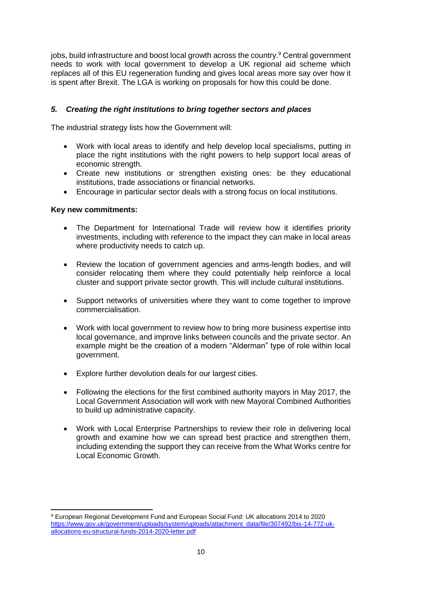jobs, build infrastructure and boost local growth across the country.<sup>9</sup> Central government needs to work with local government to develop a UK regional aid scheme which replaces all of this EU regeneration funding and gives local areas more say over how it is spent after Brexit. The LGA is working on proposals for how this could be done.

## *5. Creating the right institutions to bring together sectors and places*

The industrial strategy lists how the Government will:

- Work with local areas to identify and help develop local specialisms, putting in place the right institutions with the right powers to help support local areas of economic strength.
- Create new institutions or strengthen existing ones: be they educational institutions, trade associations or financial networks.
- Encourage in particular sector deals with a strong focus on local institutions.

## **Key new commitments:**

- The Department for International Trade will review how it identifies priority investments, including with reference to the impact they can make in local areas where productivity needs to catch up.
- Review the location of government agencies and arms-length bodies, and will consider relocating them where they could potentially help reinforce a local cluster and support private sector growth. This will include cultural institutions.
- Support networks of universities where they want to come together to improve commercialisation.
- Work with local government to review how to bring more business expertise into local governance, and improve links between councils and the private sector. An example might be the creation of a modern "Alderman" type of role within local government.
- Explore further devolution deals for our largest cities.
- Following the elections for the first combined authority mayors in May 2017, the Local Government Association will work with new Mayoral Combined Authorities to build up administrative capacity.
- Work with Local Enterprise Partnerships to review their role in delivering local growth and examine how we can spread best practice and strengthen them, including extending the support they can receive from the What Works centre for Local Economic Growth.

 $\frac{1}{2}$ <sup>9</sup> European Regional Development Fund and European Social Fund: UK allocations 2014 to 2020 [https://www.gov.uk/government/uploads/system/uploads/attachment\\_data/file/307492/bis-14-772-uk](https://www.gov.uk/government/uploads/system/uploads/attachment_data/file/307492/bis-14-772-uk-allocations-eu-structural-funds-2014-2020-letter.pdf)[allocations-eu-structural-funds-2014-2020-letter.pdf](https://www.gov.uk/government/uploads/system/uploads/attachment_data/file/307492/bis-14-772-uk-allocations-eu-structural-funds-2014-2020-letter.pdf)